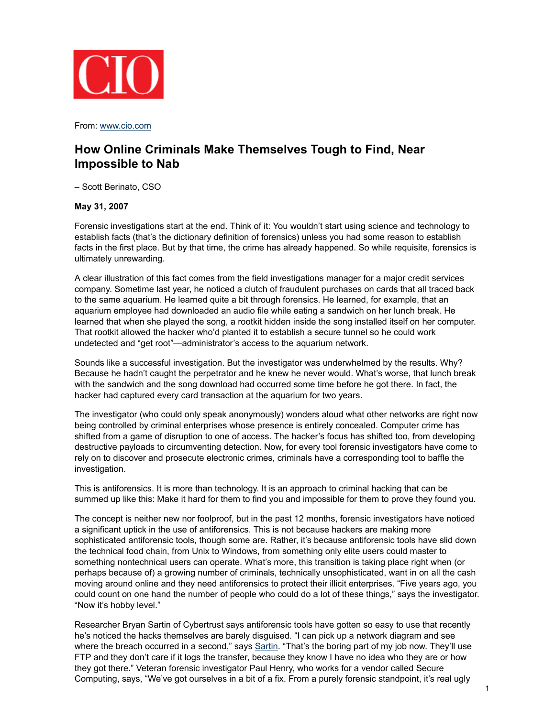

From: www.cio.com

# **How Online Criminals Make Themselves Tough to Find, Near Impossible to Nab**

– Scott Berinato, CSO

# **May 31, 2007**

Forensic investigations start at the end. Think of it: You wouldn't start using science and technology to establish facts (that's the dictionary definition of forensics) unless you had some reason to establish facts in the first place. But by that time, the crime has already happened. So while requisite, forensics is ultimately unrewarding.

A clear illustration of this fact comes from the field investigations manager for a major credit services company. Sometime last year, he noticed a clutch of fraudulent purchases on cards that all traced back to the same aquarium. He learned quite a bit through forensics. He learned, for example, that an aquarium employee had downloaded an audio file while eating a sandwich on her lunch break. He learned that when she played the song, a rootkit hidden inside the song installed itself on her computer. That rootkit allowed the hacker who'd planted it to establish a secure tunnel so he could work undetected and "get root"—administrator's access to the aquarium network.

Sounds like a successful investigation. But the investigator was underwhelmed by the results. Why? Because he hadn't caught the perpetrator and he knew he never would. What's worse, that lunch break with the sandwich and the song download had occurred some time before he got there. In fact, the hacker had captured every card transaction at the aquarium for two years.

The investigator (who could only speak anonymously) wonders aloud what other networks are right now being controlled by criminal enterprises whose presence is entirely concealed. Computer crime has shifted from a game of disruption to one of access. The hacker's focus has shifted too, from developing destructive payloads to circumventing detection. Now, for every tool forensic investigators have come to rely on to discover and prosecute electronic crimes, criminals have a corresponding tool to baffle the investigation.

This is antiforensics. It is more than technology. It is an approach to criminal hacking that can be summed up like this: Make it hard for them to find you and impossible for them to prove they found you.

The concept is neither new nor foolproof, but in the past 12 months, forensic investigators have noticed a significant uptick in the use of antiforensics. This is not because hackers are making more sophisticated antiforensic tools, though some are. Rather, it's because antiforensic tools have slid down the technical food chain, from Unix to Windows, from something only elite users could master to something nontechnical users can operate. What's more, this transition is taking place right when (or perhaps because of) a growing number of criminals, technically unsophisticated, want in on all the cash moving around online and they need antiforensics to protect their illicit enterprises. "Five years ago, you could count on one hand the number of people who could do a lot of these things," says the investigator. "Now it's hobby level."

Researcher Bryan Sartin of Cybertrust says antiforensic tools have gotten so easy to use that recently he's noticed the hacks themselves are barely disguised. "I can pick up a network diagram and see where the breach occurred in a second," says Sartin. "That's the boring part of my job now. They'll use FTP and they don't care if it logs the transfer, because they know I have no idea who they are or how they got there." Veteran forensic investigator Paul Henry, who works for a vendor called Secure Computing, says, "We've got ourselves in a bit of a fix. From a purely forensic standpoint, it's real ugly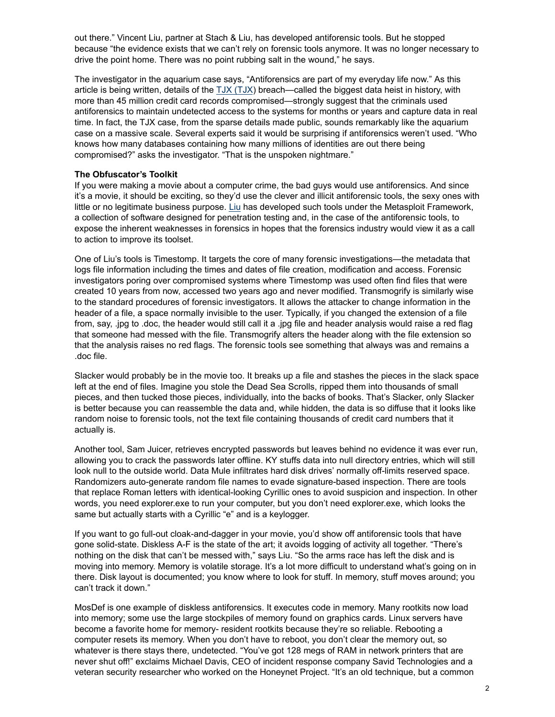out there." Vincent Liu, partner at Stach & Liu, has developed antiforensic tools. But he stopped because "the evidence exists that we can't rely on forensic tools anymore. It was no longer necessary to drive the point home. There was no point rubbing salt in the wound," he says.

The investigator in the aquarium case says, "Antiforensics are part of my everyday life now." As this article is being written, details of the  $TJX$   $(TJX)$  breach—called the biggest data heist in history, with more than 45 million credit card records compromised—strongly suggest that the criminals used antiforensics to maintain undetected access to the systems for months or years and capture data in real time. In fact, the TJX case, from the sparse details made public, sounds remarkably like the aquarium case on a massive scale. Several experts said it would be surprising if antiforensics weren't used. "Who knows how many databases containing how many millions of identities are out there being compromised?" asks the investigator. "That is the unspoken nightmare."

## **The Obfuscator's Toolkit**

If you were making a movie about a computer crime, the bad guys would use antiforensics. And since it's a movie, it should be exciting, so they'd use the clever and illicit antiforensic tools, the sexy ones with little or no legitimate business purpose. Liu has developed such tools under the Metasploit Framework, a collection of software designed for penetration testing and, in the case of the antiforensic tools, to expose the inherent weaknesses in forensics in hopes that the forensics industry would view it as a call to action to improve its toolset.

One of Liu's tools is Timestomp. It targets the core of many forensic investigations—the metadata that logs file information including the times and dates of file creation, modification and access. Forensic investigators poring over compromised systems where Timestomp was used often find files that were created 10 years from now, accessed two years ago and never modified. Transmogrify is similarly wise to the standard procedures of forensic investigators. It allows the attacker to change information in the header of a file, a space normally invisible to the user. Typically, if you changed the extension of a file from, say, .jpg to .doc, the header would still call it a .jpg file and header analysis would raise a red flag that someone had messed with the file. Transmogrify alters the header along with the file extension so that the analysis raises no red flags. The forensic tools see something that always was and remains a .doc file.

Slacker would probably be in the movie too. It breaks up a file and stashes the pieces in the slack space left at the end of files. Imagine you stole the Dead Sea Scrolls, ripped them into thousands of small pieces, and then tucked those pieces, individually, into the backs of books. That's Slacker, only Slacker is better because you can reassemble the data and, while hidden, the data is so diffuse that it looks like random noise to forensic tools, not the text file containing thousands of credit card numbers that it actually is.

Another tool, Sam Juicer, retrieves encrypted passwords but leaves behind no evidence it was ever run, allowing you to crack the passwords later offline. KY stuffs data into null directory entries, which will still look null to the outside world. Data Mule infiltrates hard disk drives' normally off-limits reserved space. Randomizers auto-generate random file names to evade signature-based inspection. There are tools that replace Roman letters with identical-looking Cyrillic ones to avoid suspicion and inspection. In other words, you need explorer.exe to run your computer, but you don't need explorer.exe, which looks the same but actually starts with a Cyrillic "e" and is a keylogger.

If you want to go full-out cloak-and-dagger in your movie, you'd show off antiforensic tools that have gone solid-state. Diskless A-F is the state of the art; it avoids logging of activity all together. "There's nothing on the disk that can't be messed with," says Liu. "So the arms race has left the disk and is moving into memory. Memory is volatile storage. It's a lot more difficult to understand what's going on in there. Disk layout is documented; you know where to look for stuff. In memory, stuff moves around; you can't track it down."

MosDef is one example of diskless antiforensics. It executes code in memory. Many rootkits now load into memory; some use the large stockpiles of memory found on graphics cards. Linux servers have become a favorite home for memory- resident rootkits because they're so reliable. Rebooting a computer resets its memory. When you don't have to reboot, you don't clear the memory out, so whatever is there stays there, undetected. "You've got 128 megs of RAM in network printers that are never shut off!" exclaims Michael Davis, CEO of incident response company Savid Technologies and a veteran security researcher who worked on the Honeynet Project. "It's an old technique, but a common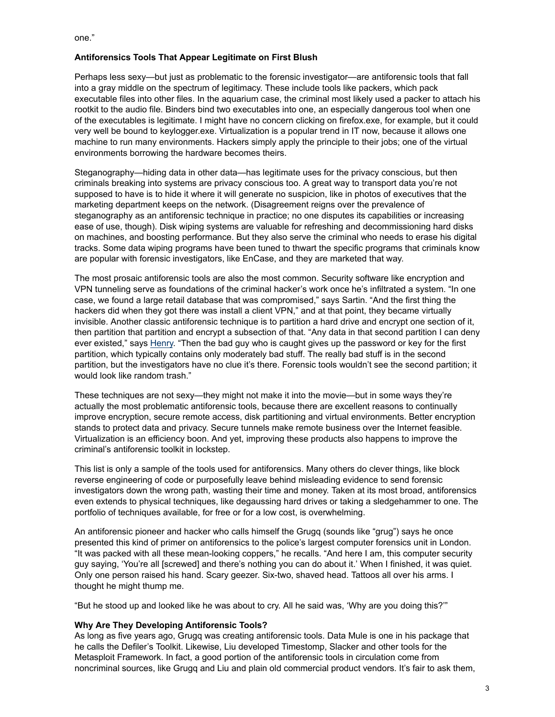one."

## **Antiforensics Tools That Appear Legitimate on First Blush**

Perhaps less sexy—but just as problematic to the forensic investigator—are antiforensic tools that fall into a gray middle on the spectrum of legitimacy. These include tools like packers, which pack executable files into other files. In the aquarium case, the criminal most likely used a packer to attach his rootkit to the audio file. Binders bind two executables into one, an especially dangerous tool when one of the executables is legitimate. I might have no concern clicking on firefox.exe, for example, but it could very well be bound to keylogger.exe. Virtualization is a popular trend in IT now, because it allows one machine to run many environments. Hackers simply apply the principle to their jobs; one of the virtual environments borrowing the hardware becomes theirs.

Steganography—hiding data in other data—has legitimate uses for the privacy conscious, but then criminals breaking into systems are privacy conscious too. A great way to transport data you're not supposed to have is to hide it where it will generate no suspicion, like in photos of executives that the marketing department keeps on the network. (Disagreement reigns over the prevalence of steganography as an antiforensic technique in practice; no one disputes its capabilities or increasing ease of use, though). Disk wiping systems are valuable for refreshing and decommissioning hard disks on machines, and boosting performance. But they also serve the criminal who needs to erase his digital tracks. Some data wiping programs have been tuned to thwart the specific programs that criminals know are popular with forensic investigators, like EnCase, and they are marketed that way.

The most prosaic antiforensic tools are also the most common. Security software like encryption and VPN tunneling serve as foundations of the criminal hacker's work once he's infiltrated a system. "In one case, we found a large retail database that was compromised," says Sartin. "And the first thing the hackers did when they got there was install a client VPN," and at that point, they became virtually invisible. Another classic antiforensic technique is to partition a hard drive and encrypt one section of it, then partition that partition and encrypt a subsection of that. "Any data in that second partition I can deny ever existed," says Henry. "Then the bad guy who is caught gives up the password or key for the first partition, which typically contains only moderately bad stuff. The really bad stuff is in the second partition, but the investigators have no clue it's there. Forensic tools wouldn't see the second partition; it would look like random trash."

These techniques are not sexy—they might not make it into the movie—but in some ways they're actually the most problematic antiforensic tools, because there are excellent reasons to continually improve encryption, secure remote access, disk partitioning and virtual environments. Better encryption stands to protect data and privacy. Secure tunnels make remote business over the Internet feasible. Virtualization is an efficiency boon. And yet, improving these products also happens to improve the criminal's antiforensic toolkit in lockstep.

This list is only a sample of the tools used for antiforensics. Many others do clever things, like block reverse engineering of code or purposefully leave behind misleading evidence to send forensic investigators down the wrong path, wasting their time and money. Taken at its most broad, antiforensics even extends to physical techniques, like degaussing hard drives or taking a sledgehammer to one. The portfolio of techniques available, for free or for a low cost, is overwhelming.

An antiforensic pioneer and hacker who calls himself the Grugq (sounds like "grug") says he once presented this kind of primer on antiforensics to the police's largest computer forensics unit in London. "It was packed with all these mean-looking coppers," he recalls. "And here I am, this computer security guy saying, 'You're all [screwed] and there's nothing you can do about it.' When I finished, it was quiet. Only one person raised his hand. Scary geezer. Six-two, shaved head. Tattoos all over his arms. I thought he might thump me.

"But he stood up and looked like he was about to cry. All he said was, 'Why are you doing this?'"

#### **Why Are They Developing Antiforensic Tools?**

As long as five years ago, Grugq was creating antiforensic tools. Data Mule is one in his package that he calls the Defiler's Toolkit. Likewise, Liu developed Timestomp, Slacker and other tools for the Metasploit Framework. In fact, a good portion of the antiforensic tools in circulation come from noncriminal sources, like Grugq and Liu and plain old commercial product vendors. It's fair to ask them,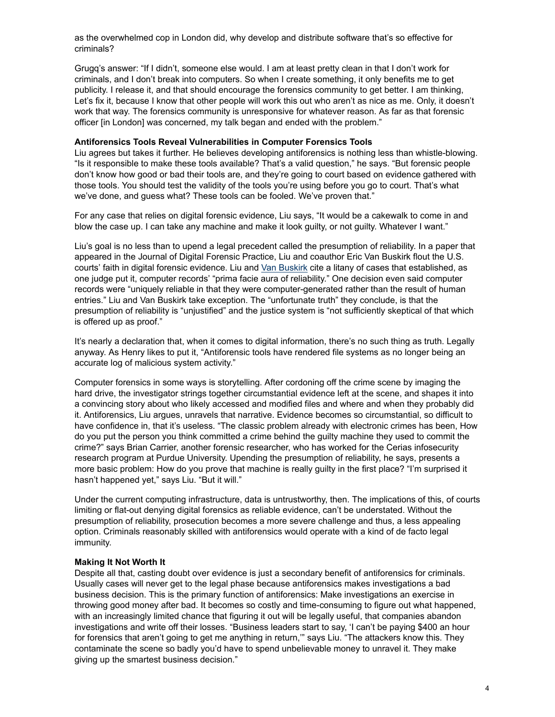as the overwhelmed cop in London did, why develop and distribute software that's so effective for criminals?

Grugq's answer: "If I didn't, someone else would. I am at least pretty clean in that I don't work for criminals, and I don't break into computers. So when I create something, it only benefits me to get publicity. I release it, and that should encourage the forensics community to get better. I am thinking, Let's fix it, because I know that other people will work this out who aren't as nice as me. Only, it doesn't work that way. The forensics community is unresponsive for whatever reason. As far as that forensic officer [in London] was concerned, my talk began and ended with the problem."

#### **Antiforensics Tools Reveal Vulnerabilities in Computer Forensics Tools**

Liu agrees but takes it further. He believes developing antiforensics is nothing less than whistle-blowing. "Is it responsible to make these tools available? That's a valid question," he says. "But forensic people don't know how good or bad their tools are, and they're going to court based on evidence gathered with those tools. You should test the validity of the tools you're using before you go to court. That's what we've done, and guess what? These tools can be fooled. We've proven that."

For any case that relies on digital forensic evidence, Liu says, "It would be a cakewalk to come in and blow the case up. I can take any machine and make it look guilty, or not guilty. Whatever I want."

Liu's goal is no less than to upend a legal precedent called the presumption of reliability. In a paper that appeared in the Journal of Digital Forensic Practice, Liu and coauthor Eric Van Buskirk flout the U.S. courts' faith in digital forensic evidence. Liu and Van Buskirk cite a litany of cases that established, as one judge put it, computer records' "prima facie aura of reliability." One decision even said computer records were "uniquely reliable in that they were computer-generated rather than the result of human entries." Liu and Van Buskirk take exception. The "unfortunate truth" they conclude, is that the presumption of reliability is "unjustified" and the justice system is "not sufficiently skeptical of that which is offered up as proof."

It's nearly a declaration that, when it comes to digital information, there's no such thing as truth. Legally anyway. As Henry likes to put it, "Antiforensic tools have rendered file systems as no longer being an accurate log of malicious system activity."

Computer forensics in some ways is storytelling. After cordoning off the crime scene by imaging the hard drive, the investigator strings together circumstantial evidence left at the scene, and shapes it into a convincing story about who likely accessed and modified files and where and when they probably did it. Antiforensics, Liu argues, unravels that narrative. Evidence becomes so circumstantial, so difficult to have confidence in, that it's useless. "The classic problem already with electronic crimes has been, How do you put the person you think committed a crime behind the guilty machine they used to commit the crime?" says Brian Carrier, another forensic researcher, who has worked for the Cerias infosecurity research program at Purdue University. Upending the presumption of reliability, he says, presents a more basic problem: How do you prove that machine is really guilty in the first place? "I'm surprised it hasn't happened yet," says Liu. "But it will."

Under the current computing infrastructure, data is untrustworthy, then. The implications of this, of courts limiting or flat-out denying digital forensics as reliable evidence, can't be understated. Without the presumption of reliability, prosecution becomes a more severe challenge and thus, a less appealing option. Criminals reasonably skilled with antiforensics would operate with a kind of de facto legal immunity.

#### **Making It Not Worth It**

Despite all that, casting doubt over evidence is just a secondary benefit of antiforensics for criminals. Usually cases will never get to the legal phase because antiforensics makes investigations a bad business decision. This is the primary function of antiforensics: Make investigations an exercise in throwing good money after bad. It becomes so costly and time-consuming to figure out what happened, with an increasingly limited chance that figuring it out will be legally useful, that companies abandon investigations and write off their losses. "Business leaders start to say, 'I can't be paying \$400 an hour for forensics that aren't going to get me anything in return,'" says Liu. "The attackers know this. They contaminate the scene so badly you'd have to spend unbelievable money to unravel it. They make giving up the smartest business decision."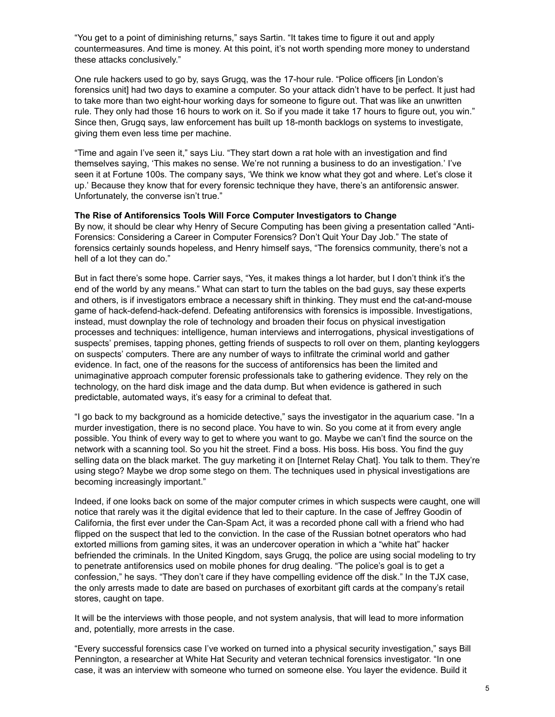"You get to a point of diminishing returns," says Sartin. "It takes time to figure it out and apply countermeasures. And time is money. At this point, it's not worth spending more money to understand these attacks conclusively."

One rule hackers used to go by, says Grugq, was the 17-hour rule. "Police officers [in London's forensics unit] had two days to examine a computer. So your attack didn't have to be perfect. It just had to take more than two eight-hour working days for someone to figure out. That was like an unwritten rule. They only had those 16 hours to work on it. So if you made it take 17 hours to figure out, you win." Since then, Grugq says, law enforcement has built up 18-month backlogs on systems to investigate, giving them even less time per machine.

"Time and again I've seen it," says Liu. "They start down a rat hole with an investigation and find themselves saying, 'This makes no sense. We're not running a business to do an investigation.' I've seen it at Fortune 100s. The company says, 'We think we know what they got and where. Let's close it up.' Because they know that for every forensic technique they have, there's an antiforensic answer. Unfortunately, the converse isn't true."

#### **The Rise of Antiforensics Tools Will Force Computer Investigators to Change**

By now, it should be clear why Henry of Secure Computing has been giving a presentation called "Anti-Forensics: Considering a Career in Computer Forensics? Don't Quit Your Day Job." The state of forensics certainly sounds hopeless, and Henry himself says, "The forensics community, there's not a hell of a lot they can do."

But in fact there's some hope. Carrier says, "Yes, it makes things a lot harder, but I don't think it's the end of the world by any means." What can start to turn the tables on the bad guys, say these experts and others, is if investigators embrace a necessary shift in thinking. They must end the cat-and-mouse game of hack-defend-hack-defend. Defeating antiforensics with forensics is impossible. Investigations, instead, must downplay the role of technology and broaden their focus on physical investigation processes and techniques: intelligence, human interviews and interrogations, physical investigations of suspects' premises, tapping phones, getting friends of suspects to roll over on them, planting keyloggers on suspects' computers. There are any number of ways to infiltrate the criminal world and gather evidence. In fact, one of the reasons for the success of antiforensics has been the limited and unimaginative approach computer forensic professionals take to gathering evidence. They rely on the technology, on the hard disk image and the data dump. But when evidence is gathered in such predictable, automated ways, it's easy for a criminal to defeat that.

"I go back to my background as a homicide detective," says the investigator in the aquarium case. "In a murder investigation, there is no second place. You have to win. So you come at it from every angle possible. You think of every way to get to where you want to go. Maybe we can't find the source on the network with a scanning tool. So you hit the street. Find a boss. His boss. His boss. You find the guy selling data on the black market. The guy marketing it on [Internet Relay Chat]. You talk to them. They're using stego? Maybe we drop some stego on them. The techniques used in physical investigations are becoming increasingly important."

Indeed, if one looks back on some of the major computer crimes in which suspects were caught, one will notice that rarely was it the digital evidence that led to their capture. In the case of Jeffrey Goodin of California, the first ever under the Can-Spam Act, it was a recorded phone call with a friend who had flipped on the suspect that led to the conviction. In the case of the Russian botnet operators who had extorted millions from gaming sites, it was an undercover operation in which a "white hat" hacker befriended the criminals. In the United Kingdom, says Grugq, the police are using social modeling to try to penetrate antiforensics used on mobile phones for drug dealing. "The police's goal is to get a confession," he says. "They don't care if they have compelling evidence off the disk." In the TJX case, the only arrests made to date are based on purchases of exorbitant gift cards at the company's retail stores, caught on tape.

It will be the interviews with those people, and not system analysis, that will lead to more information and, potentially, more arrests in the case.

"Every successful forensics case I've worked on turned into a physical security investigation," says Bill Pennington, a researcher at White Hat Security and veteran technical forensics investigator. "In one case, it was an interview with someone who turned on someone else. You layer the evidence. Build it